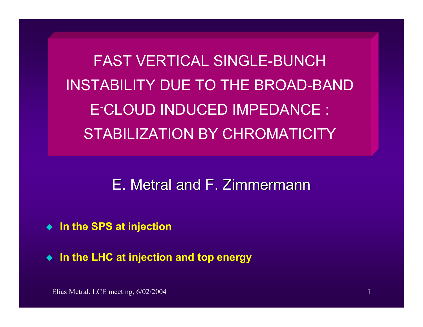FAST VERTICAL SINGLE-BUNCHINSTABILITY DUE TO THE BROAD-BANDE-CLOUD INDUCED IMPEDANCE : STABILIZATION BY CHROMATICITY

# E. Metral and F. Zimmermann

- ◆ In the SPS at injection
- **In the LHC at injection and top energy**

Elias Metral, LCE meeting, 6/02/2004 1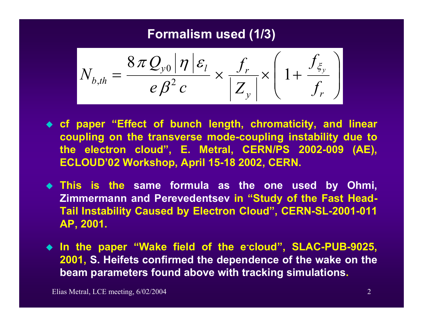#### **Formalism used (1/3)**

$$
N_{b,th} = \frac{8\pi Q_{y0} |\eta| \varepsilon_l}{e\beta^2 c} \times \frac{f_r}{|Z_y|} \times \left(1 + \frac{f_{\xi_y}}{f_r}\right)
$$

- **cf paper "Effect of bunch length, chromaticity, and linear coupling on the transverse mode-coupling instabili t y due to the electron cloud", E. Metral, CERN/PS 2002-009 (AE), ECLOUD'02 Workshop, April 15-18 2002, CER N.**
- **This is the same formula as the one used by Ohmi, Zimmermann and Perevedentsev in "Study of the Fast Head-Tail Instabili ty Caused by Electron Cloud", CERN-SL-2001-011 AP, 2001.**
- **In the paper "Wake field of the e-cloud", SLAC-PUB-9025, 2001, S. Heifets confirmed the dependence of the wake on the beam parameters found above with tracking simulations.**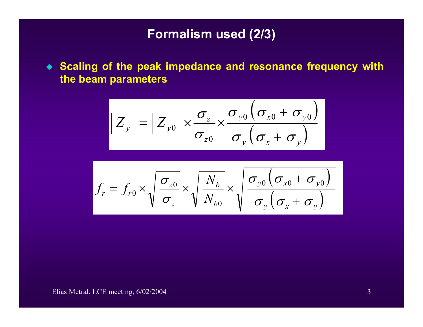#### **Formalism used (2/3)**

 **Scaling of the peak impedance and resonance frequency with the beam parameters**

$$
|Z_{y}| = |Z_{y0}| \times \frac{\sigma_{z}}{\sigma_{z0}} \times \frac{\sigma_{y0}(\sigma_{x0} + \sigma_{y0})}{\sigma_{y}(\sigma_{x} + \sigma_{y})}
$$

$$
f_r = f_{r0} \times \sqrt{\frac{\sigma_{z0}}{\sigma_z}} \times \sqrt{\frac{N_b}{N_{b0}}} \times \sqrt{\frac{\sigma_{y0} (\sigma_{x0} + \sigma_{y0})}{\sigma_y (\sigma_x + \sigma_y)}}
$$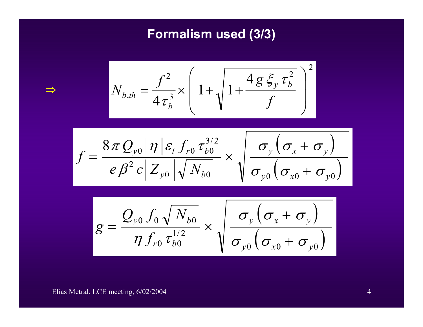## **Formalism used (3/3)**

$$
N_{b,th} = \frac{f^2}{4\tau_b^3} \times \left(1 + \sqrt{1 + \frac{4g\xi_y \tau_b^2}{f}}\right)^2
$$

$$
f = \frac{8\pi Q_{y0}|\eta| \varepsilon_{l} f_{r0} \tau_{b0}^{3/2}}{e\beta^{2} c |Z_{y0}| \sqrt{N_{b0}}} \times \sqrt{\frac{\sigma_{y}(\sigma_{x} + \sigma_{y})}{\sigma_{y0}(\sigma_{x0} + \sigma_{y0})}}
$$

$$
g = \frac{Q_{y0} f_0 \sqrt{N_{b0}}}{\eta f_{r0} \tau_{b0}^{1/2}} \times \sqrt{\frac{\sigma_y (\sigma_x + \sigma_y)}{\sigma_{y0} (\sigma_{x0} + \sigma_{y0})}}
$$

Elias Metral, LCE meeting, 6/02/2004 4 and the contract of the contract of the contract of the contract of the contract of the contract of the contract of the contract of the contract of the contract of the contract of the

⇒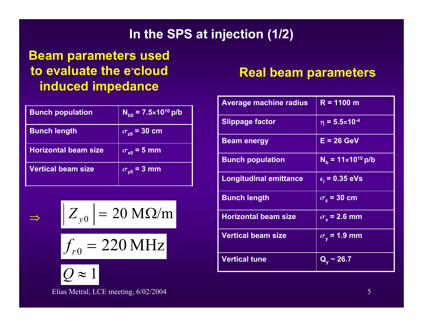## **In the SPS at injection (1/2)**

## **Beam parameters used to evaluate the e-cloud induced impedance**

| <b>Bunch population</b>     | $N_{\text{b0}} = 7.5 \times 10^{10} \text{ p/b}$ |
|-----------------------------|--------------------------------------------------|
| <b>Bunch length</b>         | $\sigma_{z0}$ = 30 cm                            |
| <b>Horizontal beam size</b> | $\sigma_{\rm x0}$ = 5 mm                         |
| <b>Vertical beam size</b>   | $\sigma_{\gamma 0}$ = 3 mm                       |

$$
|Z_{y0}| = 20 \text{ M}\Omega/\text{m}
$$

 $f_{r0}^{} = 220\,\mathrm{MHz}$ =



⇒

#### Elias Metral, LCE meeting, 6/02/2004 5

### **Real beam parameters**

| <b>Average machine radius</b> | $R = 1100 m$                  |
|-------------------------------|-------------------------------|
| <b>Slippage factor</b>        | $\eta = 5.5 \times 10^{-4}$   |
| <b>Beam energy</b>            | $E = 26$ GeV                  |
| <b>Bunch population</b>       | $N_h = 11 \times 10^{10}$ p/b |
| <b>Longitudinal emittance</b> | $\epsilon_{1}$ = 0.35 eVs     |
| <b>Bunch length</b>           | $\overline{\sigma_z}$ = 30 cm |
| <b>Horizontal beam size</b>   | $\sigma_{\rm v}$ = 2.6 mm     |
| <b>Vertical beam size</b>     | $\sigma_{\rm v}$ = 1.9 mm     |
| <b>Vertical tune</b>          | $Q_v \sim 26.7$               |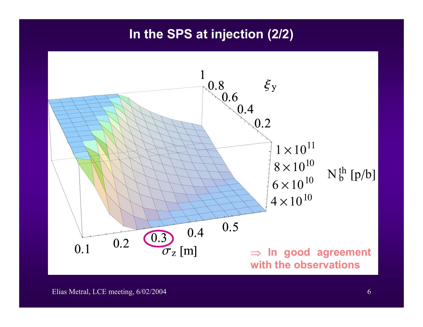#### **In the SPS at injection (2/2)**

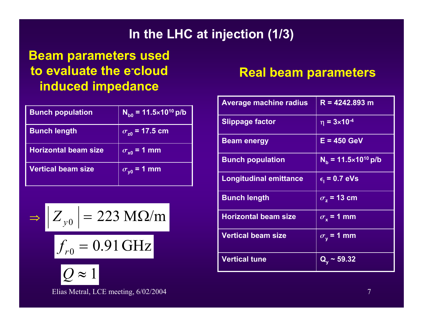## **In the LHC at injection (1/3)**

## **Beam parameters used to evaluate the e-cloud induced impedance**

| <b>Bunch population</b>     | $N_{\text{b0}} = 11.5 \times 10^{10} \text{ p/b}$ |
|-----------------------------|---------------------------------------------------|
| <b>Bunch length</b>         | $\sigma_{z0}$ = 17.5 cm                           |
| <b>Horizontal beam size</b> | $\sigma_{\rm x0}$ = 1 mm                          |
| <b>Vertical beam size</b>   | $\sigma_{\gamma 0}$ = 1 mm                        |

$$
\Rightarrow \left| Z_{y0} \right| = 223 \text{ M}\Omega/\text{m}
$$

 $f_{r0}^{}=0.91\,\mathrm{GHz}$ =

*Q* ≈1

#### Elias Metral, LCE meeting, 6/02/2004 7

#### **Real beam parameters**

| <b>Average machine radius</b> | $R = 4242.893$ m                        |
|-------------------------------|-----------------------------------------|
| <b>Slippage factor</b>        | $\eta = 3 \times 10^{-4}$               |
| <b>Beam energy</b>            | $E = 450$ GeV                           |
| <b>Bunch population</b>       | $N_h = 11.5 \times 10^{10} \text{ p/b}$ |
| <b>Longitudinal emittance</b> | $\epsilon_{\rm i}$ = 0.7 eVs            |
| <b>Bunch length</b>           | $\sigma$ <sub>z</sub> = 13 cm           |
| <b>Horizontal beam size</b>   | $\sigma_{\rm x}$ = 1 mm                 |
| <b>Vertical beam size</b>     | $\sigma_{\rm v}$ = 1 mm                 |
| <b>Vertical tune</b>          | $Q_v \sim 59.32$                        |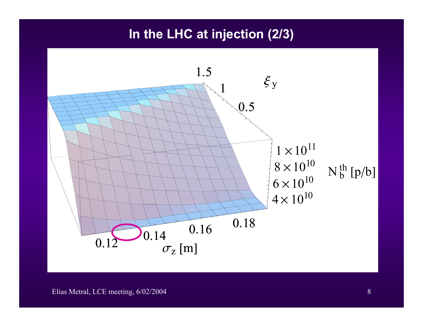#### **In the LHC at injection (2/3)**

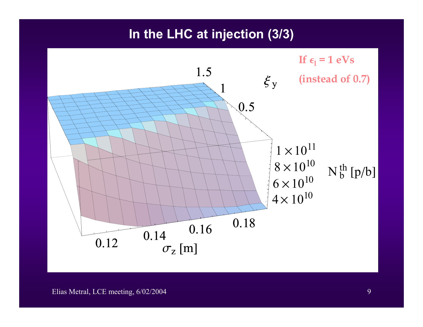### **In the LHC at injection (3/3)**

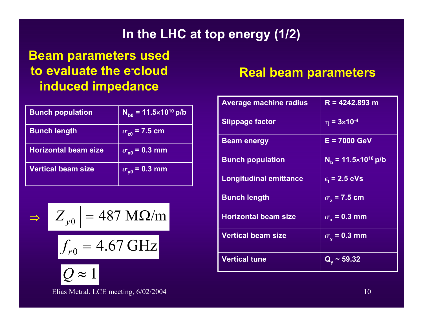## **In the LHC at top energy (1/2)**

## **Beam parameters used to evaluate the e-cloud induced impedance**

| <b>Bunch population</b>     | $N_{\text{b0}}$ = 11.5×10 <sup>10</sup> p/b |
|-----------------------------|---------------------------------------------|
| <b>Bunch length</b>         | $\sigma_{z0}$ = 7.5 cm                      |
| <b>Horizontal beam size</b> | $\sigma_{\rm x0}$ = 0.3 mm                  |
| <b>Vertical beam size</b>   | $\sigma_{\gamma 0}$ = 0.3 mm                |

$$
\Rightarrow \left| Z_{y0} \right| = 487 \text{ M}\Omega/\text{m}
$$

$$
f_{r0} = 4.67 \text{ GHz}
$$



Elias Metral, LCE meeting, 6/02/2004 10

### **Real beam parameters**

| <b>Average machine radius</b> | $R = 4242.893$ m                |
|-------------------------------|---------------------------------|
| <b>Slippage factor</b>        | $\eta = 3 \times 10^{-4}$       |
| <b>Beam energy</b>            | $E = 7000$ GeV                  |
| <b>Bunch population</b>       | $N_h = 11.5 \times 10^{10}$ p/b |
| <b>Longitudinal emittance</b> | $\epsilon_{\rm i}$ = 2.5 eVs    |
| <b>Bunch length</b>           | $\sigma$ , = 7.5 cm             |
| <b>Horizontal beam size</b>   | $\sigma_{\rm v}$ = 0.3 mm       |
| <b>Vertical beam size</b>     | $\sigma_{\rm v}$ = 0.3 mm       |
| <b>Vertical tune</b>          | $Q_v \sim 59.32$                |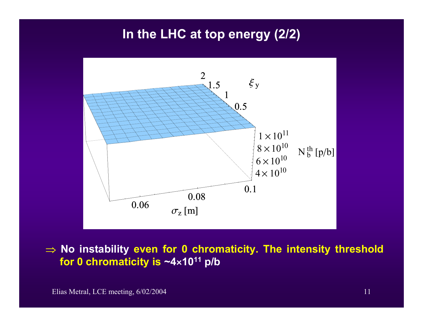## **In the LHC at top energy (2/2)**



⇒ **No instability even for 0 chromaticity. The intensity threshold for 0 chr omaticity is ~4 <sup>â</sup>1011 p/b**